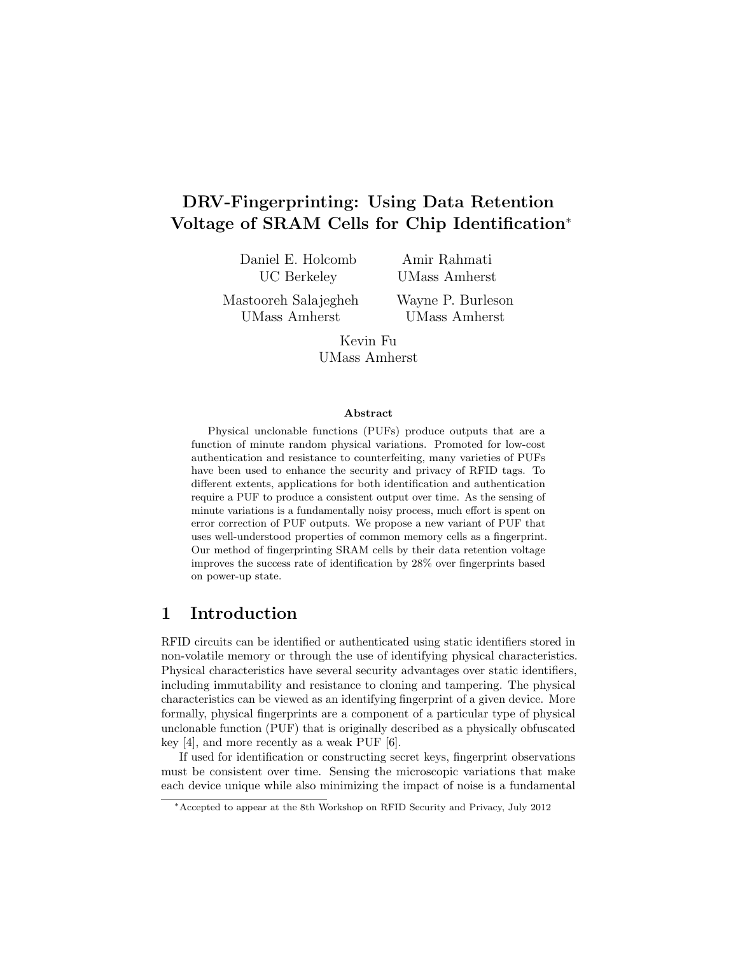# DRV-Fingerprinting: Using Data Retention Voltage of SRAM Cells for Chip Identification<sup>∗</sup>

Daniel E. Holcomb UC Berkeley

Amir Rahmati UMass Amherst

Mastooreh Salajegheh UMass Amherst

Wayne P. Burleson UMass Amherst

Kevin Fu UMass Amherst

#### Abstract

Physical unclonable functions (PUFs) produce outputs that are a function of minute random physical variations. Promoted for low-cost authentication and resistance to counterfeiting, many varieties of PUFs have been used to enhance the security and privacy of RFID tags. To different extents, applications for both identification and authentication require a PUF to produce a consistent output over time. As the sensing of minute variations is a fundamentally noisy process, much effort is spent on error correction of PUF outputs. We propose a new variant of PUF that uses well-understood properties of common memory cells as a fingerprint. Our method of fingerprinting SRAM cells by their data retention voltage improves the success rate of identification by 28% over fingerprints based on power-up state.

## 1 Introduction

RFID circuits can be identified or authenticated using static identifiers stored in non-volatile memory or through the use of identifying physical characteristics. Physical characteristics have several security advantages over static identifiers, including immutability and resistance to cloning and tampering. The physical characteristics can be viewed as an identifying fingerprint of a given device. More formally, physical fingerprints are a component of a particular type of physical unclonable function (PUF) that is originally described as a physically obfuscated key [4], and more recently as a weak PUF [6].

If used for identification or constructing secret keys, fingerprint observations must be consistent over time. Sensing the microscopic variations that make each device unique while also minimizing the impact of noise is a fundamental

<sup>∗</sup>Accepted to appear at the 8th Workshop on RFID Security and Privacy, July 2012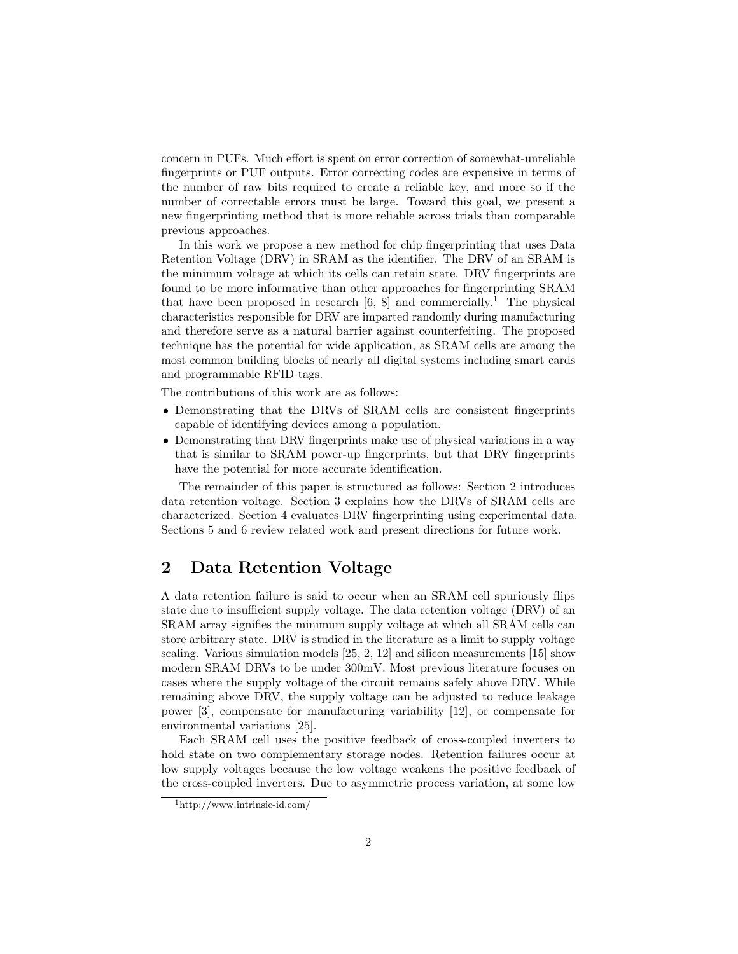concern in PUFs. Much effort is spent on error correction of somewhat-unreliable fingerprints or PUF outputs. Error correcting codes are expensive in terms of the number of raw bits required to create a reliable key, and more so if the number of correctable errors must be large. Toward this goal, we present a new fingerprinting method that is more reliable across trials than comparable previous approaches.

In this work we propose a new method for chip fingerprinting that uses Data Retention Voltage (DRV) in SRAM as the identifier. The DRV of an SRAM is the minimum voltage at which its cells can retain state. DRV fingerprints are found to be more informative than other approaches for fingerprinting SRAM that have been proposed in research  $[6, 8]$  and commercially.<sup>1</sup> The physical characteristics responsible for DRV are imparted randomly during manufacturing and therefore serve as a natural barrier against counterfeiting. The proposed technique has the potential for wide application, as SRAM cells are among the most common building blocks of nearly all digital systems including smart cards and programmable RFID tags.

The contributions of this work are as follows:

- Demonstrating that the DRVs of SRAM cells are consistent fingerprints capable of identifying devices among a population.
- Demonstrating that DRV fingerprints make use of physical variations in a way that is similar to SRAM power-up fingerprints, but that DRV fingerprints have the potential for more accurate identification.

The remainder of this paper is structured as follows: Section 2 introduces data retention voltage. Section 3 explains how the DRVs of SRAM cells are characterized. Section 4 evaluates DRV fingerprinting using experimental data. Sections 5 and 6 review related work and present directions for future work.

## 2 Data Retention Voltage

A data retention failure is said to occur when an SRAM cell spuriously flips state due to insufficient supply voltage. The data retention voltage (DRV) of an SRAM array signifies the minimum supply voltage at which all SRAM cells can store arbitrary state. DRV is studied in the literature as a limit to supply voltage scaling. Various simulation models [25, 2, 12] and silicon measurements [15] show modern SRAM DRVs to be under 300mV. Most previous literature focuses on cases where the supply voltage of the circuit remains safely above DRV. While remaining above DRV, the supply voltage can be adjusted to reduce leakage power [3], compensate for manufacturing variability [12], or compensate for environmental variations [25].

Each SRAM cell uses the positive feedback of cross-coupled inverters to hold state on two complementary storage nodes. Retention failures occur at low supply voltages because the low voltage weakens the positive feedback of the cross-coupled inverters. Due to asymmetric process variation, at some low

<sup>1</sup>http://www.intrinsic-id.com/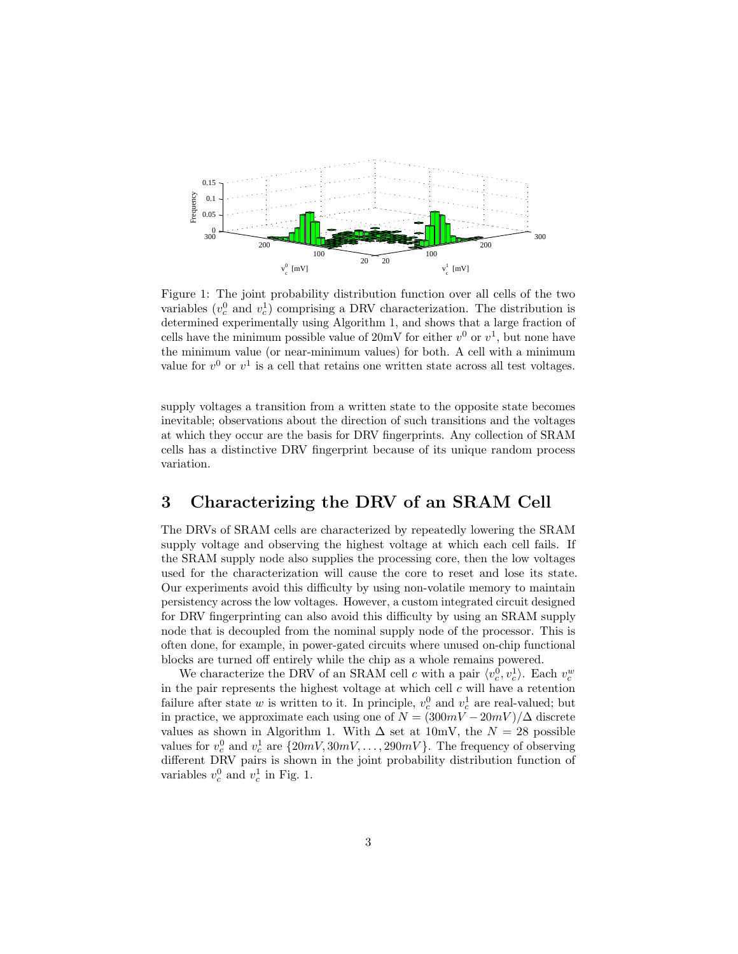

Figure 1: The joint probability distribution function over all cells of the two variables  $(v_c^0$  and  $v_c^1)$  comprising a DRV characterization. The distribution is determined experimentally using Algorithm 1, and shows that a large fraction of cells have the minimum possible value of  $20mV$  for either  $v^0$  or  $v^1$ , but none have the minimum value (or near-minimum values) for both. A cell with a minimum value for  $v^0$  or  $v^1$  is a cell that retains one written state across all test voltages.

supply voltages a transition from a written state to the opposite state becomes inevitable; observations about the direction of such transitions and the voltages at which they occur are the basis for DRV fingerprints. Any collection of SRAM cells has a distinctive DRV fingerprint because of its unique random process variation.

## 3 Characterizing the DRV of an SRAM Cell

The DRVs of SRAM cells are characterized by repeatedly lowering the SRAM supply voltage and observing the highest voltage at which each cell fails. If the SRAM supply node also supplies the processing core, then the low voltages used for the characterization will cause the core to reset and lose its state. Our experiments avoid this difficulty by using non-volatile memory to maintain persistency across the low voltages. However, a custom integrated circuit designed for DRV fingerprinting can also avoid this difficulty by using an SRAM supply node that is decoupled from the nominal supply node of the processor. This is often done, for example, in power-gated circuits where unused on-chip functional blocks are turned off entirely while the chip as a whole remains powered.

We characterize the DRV of an SRAM cell c with a pair  $\langle v_c^0, v_c^1 \rangle$ . Each  $v_c^w$ in the pair represents the highest voltage at which cell  $c$  will have a retention failure after state w is written to it. In principle,  $v_c^0$  and  $v_c^1$  are real-valued; but in practice, we approximate each using one of  $N = (300mV - 20mV)/\Delta$  discrete values as shown in Algorithm 1. With  $\Delta$  set at 10mV, the  $N = 28$  possible values for  $v_c^0$  and  $v_c^1$  are  $\{20mV, 30mV, \ldots, 290mV\}$ . The frequency of observing different DRV pairs is shown in the joint probability distribution function of variables  $v_c^0$  and  $v_c^1$  in Fig. 1.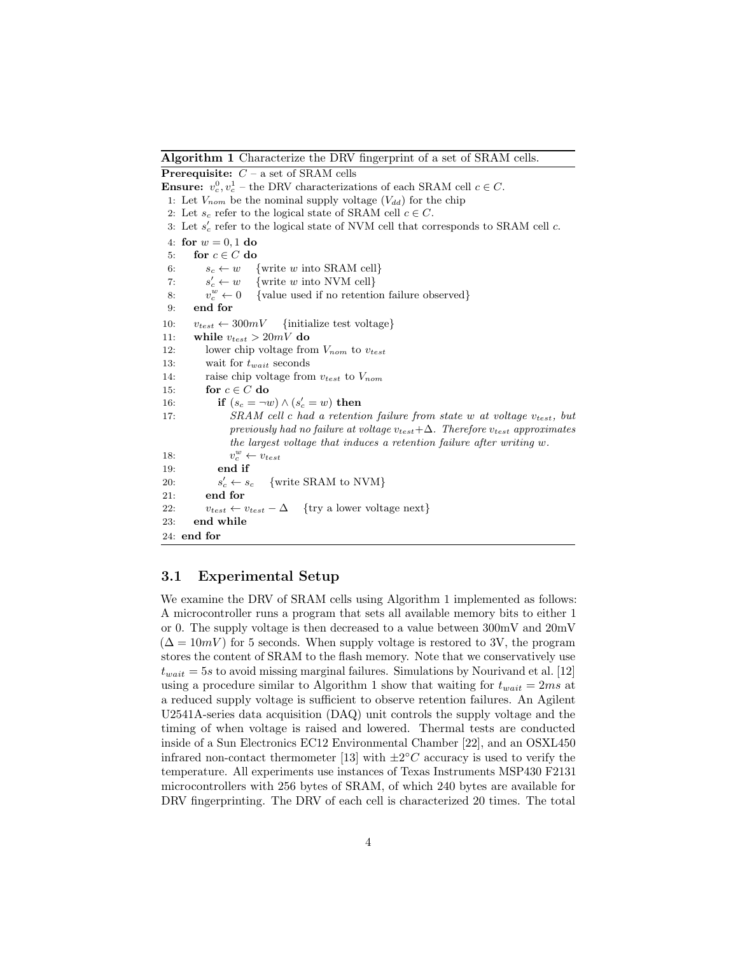Algorithm 1 Characterize the DRV fingerprint of a set of SRAM cells.

**Prerequisite:**  $C - a$  set of SRAM cells **Ensure:**  $v_c^0, v_c^1$  – the DRV characterizations of each SRAM cell  $c \in C$ . 1: Let  $V_{nom}$  be the nominal supply voltage  $(V_{dd})$  for the chip 2: Let  $s_c$  refer to the logical state of SRAM cell  $c \in C$ . 3: Let  $s'_{c}$  refer to the logical state of NVM cell that corresponds to SRAM cell  $c$ . 4: for  $w = 0.1$  do 5: for  $c \in C$  do 6:  $s_c \leftarrow w$  {write w into SRAM cell}  $7:$  $s_c' \leftarrow w$ {write  $w$  into NVM cell} 8:  $v_c^w$  $\{$ value used if no retention failure observed $\}$ 9: end for 10:  $v_{test} \leftarrow 300mV$  {initialize test voltage} 11: while  $v_{test} > 20mV$  do 12: lower chip voltage from  $V_{nom}$  to  $v_{test}$ 13: wait for  $t_{wait}$  seconds 14: raise chip voltage from  $v_{test}$  to  $V_{nom}$ 15: for  $c \in C$  do 16: **if**  $(s_c = \neg w) \land (s'_c = w)$  then 17: SRAM cell c had a retention failure from state w at voltage  $v_{test}$ , but previously had no failure at voltage  $v_{test}+\Delta$ . Therefore  $v_{test}$  approximates the largest voltage that induces a retention failure after writing w. 18: v  $v_c^w \leftarrow v_{test}$ 19: end if  $20:$  $s_c' \leftarrow s_c$  $\{write SRAM to NVM\}$ 21: end for 22:  $v_{test} \leftarrow v_{test} - \Delta$  {try a lower voltage next} 23: end while 24: end for

### 3.1 Experimental Setup

We examine the DRV of SRAM cells using Algorithm 1 implemented as follows: A microcontroller runs a program that sets all available memory bits to either 1 or 0. The supply voltage is then decreased to a value between 300mV and 20mV  $(\Delta = 10mV)$  for 5 seconds. When supply voltage is restored to 3V, the program stores the content of SRAM to the flash memory. Note that we conservatively use  $t_{wait} = 5s$  to avoid missing marginal failures. Simulations by Nourivand et al. [12] using a procedure similar to Algorithm 1 show that waiting for  $t_{wait} = 2ms$  at a reduced supply voltage is sufficient to observe retention failures. An Agilent U2541A-series data acquisition (DAQ) unit controls the supply voltage and the timing of when voltage is raised and lowered. Thermal tests are conducted inside of a Sun Electronics EC12 Environmental Chamber [22], and an OSXL450 infrared non-contact thermometer [13] with  $\pm 2^{\circ}$ C accuracy is used to verify the temperature. All experiments use instances of Texas Instruments MSP430 F2131 microcontrollers with 256 bytes of SRAM, of which 240 bytes are available for DRV fingerprinting. The DRV of each cell is characterized 20 times. The total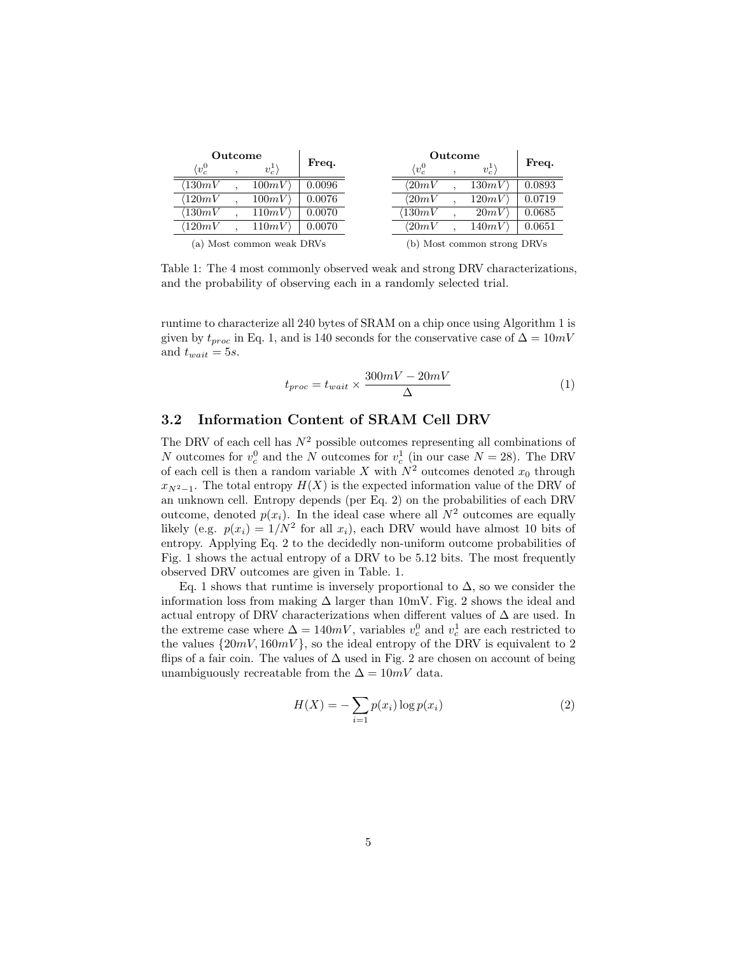| Outcome                   |  |         |        | Outcome                     |  |         |        |
|---------------------------|--|---------|--------|-----------------------------|--|---------|--------|
| $\langle v^0_c$           |  | $v_c^1$ | Freq.  | $\langle v^0_c$             |  | $v_c^1$ | Freq.  |
| $\langle130mV$            |  | 100mV   | 0.0096 | $\langle 20mV$              |  | 130mV   | 0.0893 |
| $^{\prime}120mV$          |  | 100mV   | 0.0076 | $\langle 20mV$              |  | 120mV   | 0.0719 |
| $\langle130mV$            |  | 110mV   | 0.0070 | $^{\prime}130mV$            |  | 20mV    | 0.0685 |
| $\langle120mV$            |  | 110mV   | 0.0070 | $\langle 20mV$              |  | 140mV   | 0.0651 |
| (a) Most common weak DRVs |  |         |        | (b) Most common strong DRVs |  |         |        |

Table 1: The 4 most commonly observed weak and strong DRV characterizations, and the probability of observing each in a randomly selected trial.

runtime to characterize all 240 bytes of SRAM on a chip once using Algorithm 1 is given by  $t_{proc}$  in Eq. 1, and is 140 seconds for the conservative case of  $\Delta = 10mV$ and  $t_{wait} = 5s$ .

$$
t_{proc} = t_{wait} \times \frac{300mV - 20mV}{\Delta}
$$
 (1)

### 3.2 Information Content of SRAM Cell DRV

The DRV of each cell has  $N^2$  possible outcomes representing all combinations of N outcomes for  $v_c^0$  and the N outcomes for  $v_c^1$  (in our case  $N = 28$ ). The DRV of each cell is then a random variable X with  $N^2$  outcomes denoted  $x_0$  through  $x_{N^2-1}$ . The total entropy  $H(X)$  is the expected information value of the DRV of an unknown cell. Entropy depends (per Eq. 2) on the probabilities of each DRV outcome, denoted  $p(x_i)$ . In the ideal case where all  $N^2$  outcomes are equally likely (e.g.  $p(x_i) = 1/N^2$  for all  $x_i$ ), each DRV would have almost 10 bits of entropy. Applying Eq. 2 to the decidedly non-uniform outcome probabilities of Fig. 1 shows the actual entropy of a DRV to be 5.12 bits. The most frequently observed DRV outcomes are given in Table. 1.

Eq. 1 shows that runtime is inversely proportional to  $\Delta$ , so we consider the information loss from making  $\Delta$  larger than 10mV. Fig. 2 shows the ideal and actual entropy of DRV characterizations when different values of  $\Delta$  are used. In the extreme case where  $\Delta = 140mV$ , variables  $v_c^0$  and  $v_c^1$  are each restricted to the values  $\{20mV, 160mV\}$ , so the ideal entropy of the DRV is equivalent to 2 flips of a fair coin. The values of  $\Delta$  used in Fig. 2 are chosen on account of being unambiguously recreatable from the  $\Delta = 10mV$  data.

$$
H(X) = -\sum_{i=1}^{n} p(x_i) \log p(x_i)
$$
 (2)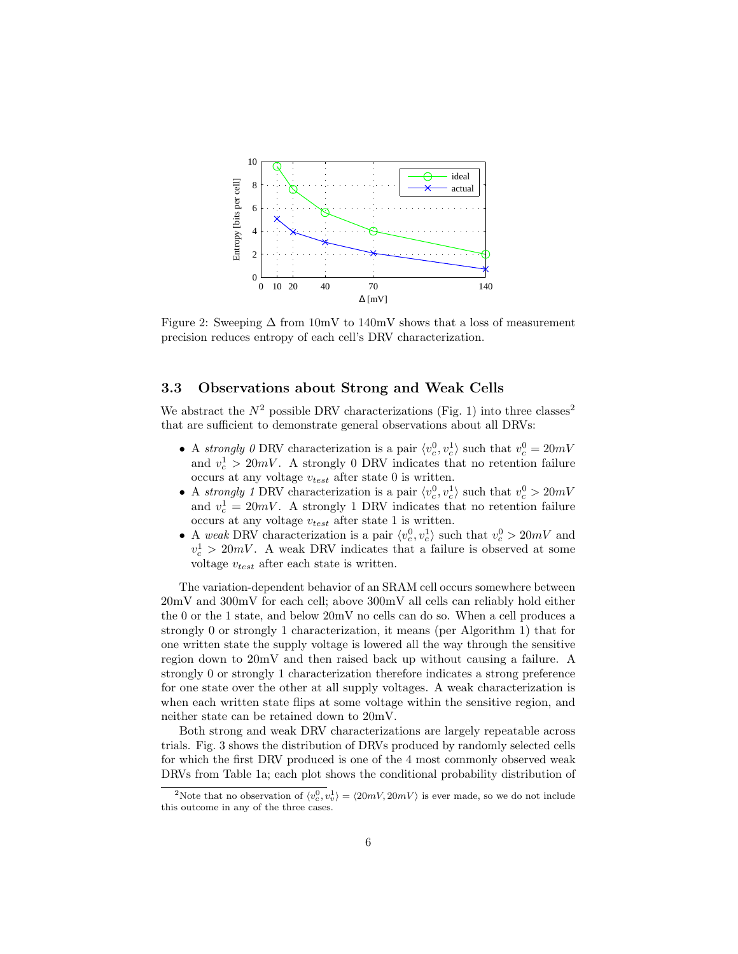

Figure 2: Sweeping  $\Delta$  from 10mV to 140mV shows that a loss of measurement precision reduces entropy of each cell's DRV characterization.

#### 3.3 Observations about Strong and Weak Cells

We abstract the  $N^2$  possible DRV characterizations (Fig. 1) into three classes<sup>2</sup> that are sufficient to demonstrate general observations about all DRVs:

- A strongly 0 DRV characterization is a pair  $\langle v_c^0, v_c^1 \rangle$  such that  $v_c^0 = 20mV$ and  $v_c^1 > 20mV$ . A strongly 0 DRV indicates that no retention failure occurs at any voltage  $v_{test}$  after state 0 is written.
- A strongly 1 DRV characterization is a pair  $\langle v_c^0, v_c^1 \rangle$  such that  $v_c^0 > 20mV$ and  $v_c^1 = 20mV$ . A strongly 1 DRV indicates that no retention failure occurs at any voltage  $v_{test}$  after state 1 is written.
- A weak DRV characterization is a pair  $\langle v_c^0, v_c^1 \rangle$  such that  $v_c^0 > 20mV$  and  $v_c^1 > 20mV$ . A weak DRV indicates that a failure is observed at some voltage  $v_{test}$  after each state is written.

The variation-dependent behavior of an SRAM cell occurs somewhere between 20mV and 300mV for each cell; above 300mV all cells can reliably hold either the 0 or the 1 state, and below 20mV no cells can do so. When a cell produces a strongly 0 or strongly 1 characterization, it means (per Algorithm 1) that for one written state the supply voltage is lowered all the way through the sensitive region down to 20mV and then raised back up without causing a failure. A strongly 0 or strongly 1 characterization therefore indicates a strong preference for one state over the other at all supply voltages. A weak characterization is when each written state flips at some voltage within the sensitive region, and neither state can be retained down to 20mV.

Both strong and weak DRV characterizations are largely repeatable across trials. Fig. 3 shows the distribution of DRVs produced by randomly selected cells for which the first DRV produced is one of the 4 most commonly observed weak DRVs from Table 1a; each plot shows the conditional probability distribution of

<sup>&</sup>lt;sup>2</sup>Note that no observation of  $\langle v_c^0, v_v^1 \rangle = \langle 20mV, 20mV \rangle$  is ever made, so we do not include this outcome in any of the three cases.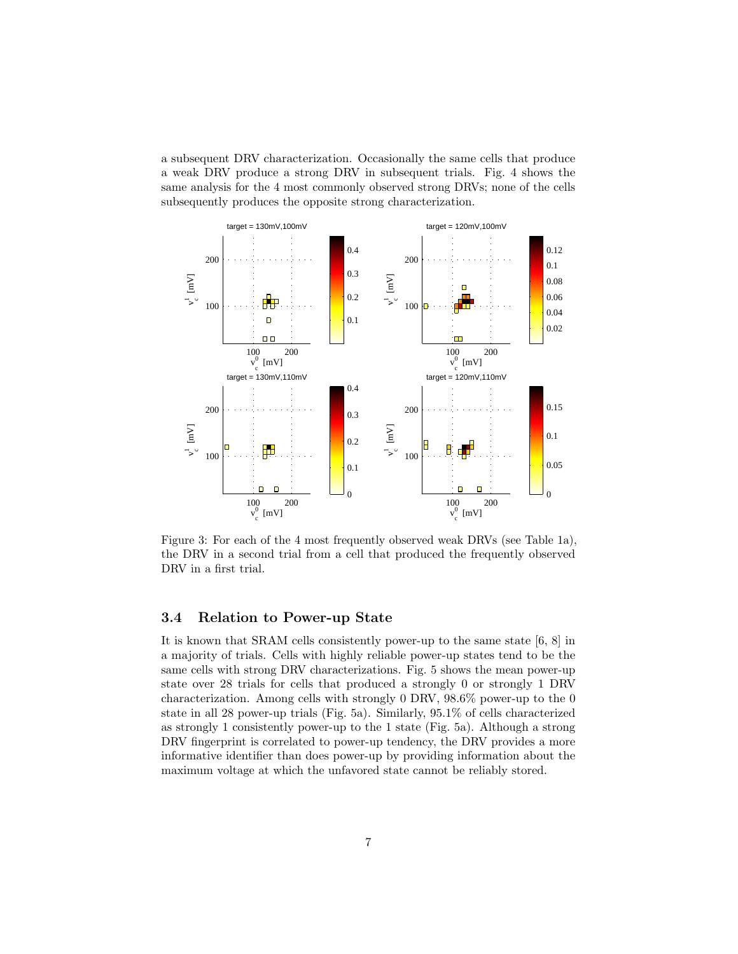a subsequent DRV characterization. Occasionally the same cells that produce a weak DRV produce a strong DRV in subsequent trials. Fig. 4 shows the same analysis for the 4 most commonly observed strong DRVs; none of the cells subsequently produces the opposite strong characterization.



Figure 3: For each of the 4 most frequently observed weak DRVs (see Table 1a), the DRV in a second trial from a cell that produced the frequently observed DRV in a first trial.

### 3.4 Relation to Power-up State

It is known that SRAM cells consistently power-up to the same state [6, 8] in a majority of trials. Cells with highly reliable power-up states tend to be the same cells with strong DRV characterizations. Fig. 5 shows the mean power-up state over 28 trials for cells that produced a strongly 0 or strongly 1 DRV characterization. Among cells with strongly 0 DRV, 98.6% power-up to the 0 state in all 28 power-up trials (Fig. 5a). Similarly, 95.1% of cells characterized as strongly 1 consistently power-up to the 1 state (Fig. 5a). Although a strong DRV fingerprint is correlated to power-up tendency, the DRV provides a more informative identifier than does power-up by providing information about the maximum voltage at which the unfavored state cannot be reliably stored.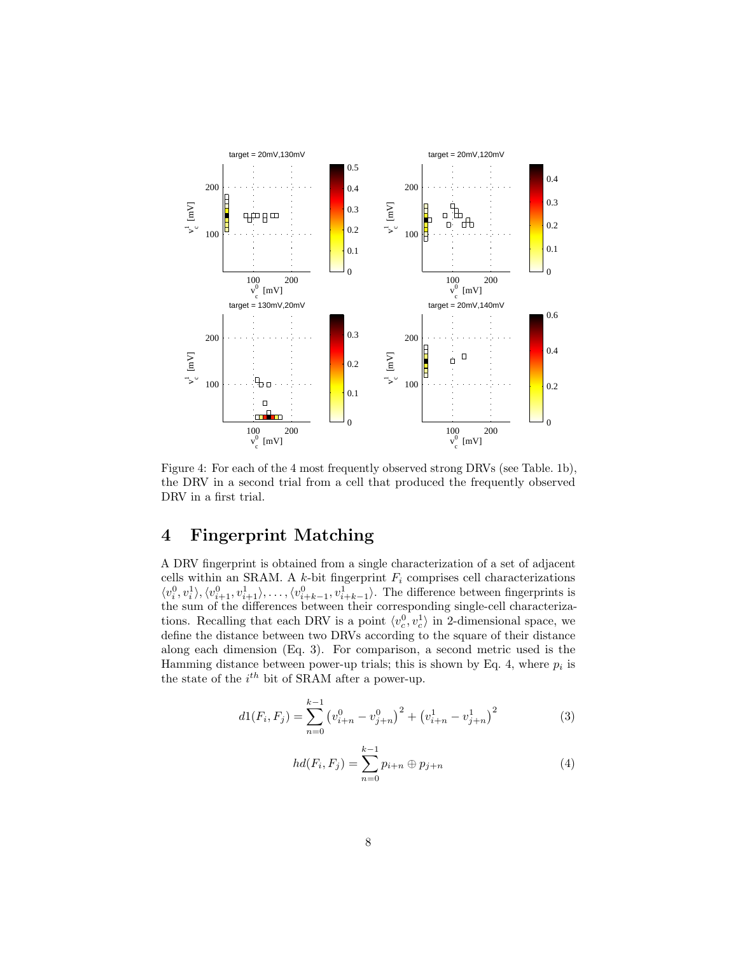

Figure 4: For each of the 4 most frequently observed strong DRVs (see Table. 1b), the DRV in a second trial from a cell that produced the frequently observed DRV in a first trial.

# 4 Fingerprint Matching

A DRV fingerprint is obtained from a single characterization of a set of adjacent cells within an SRAM. A  $k$ -bit fingerprint  $F_i$  comprises cell characterizations  $\langle v_i^0, v_i^1 \rangle, \langle v_{i+1}^0, v_{i+1}^1 \rangle, \ldots, \langle v_{i+k-1}^0, v_{i+k-1}^1 \rangle$ . The difference between fingerprints is the sum of the differences between their corresponding single-cell characterizations. Recalling that each DRV is a point  $\langle v_c^0, v_c^1 \rangle$  in 2-dimensional space, we define the distance between two DRVs according to the square of their distance along each dimension (Eq. 3). For comparison, a second metric used is the Hamming distance between power-up trials; this is shown by Eq. 4, where  $p_i$  is the state of the  $i^{th}$  bit of SRAM after a power-up.

$$
d1(F_i, F_j) = \sum_{n=0}^{k-1} \left( v_{i+n}^0 - v_{j+n}^0 \right)^2 + \left( v_{i+n}^1 - v_{j+n}^1 \right)^2 \tag{3}
$$

$$
hd(F_i, F_j) = \sum_{n=0}^{k-1} p_{i+n} \oplus p_{j+n}
$$
 (4)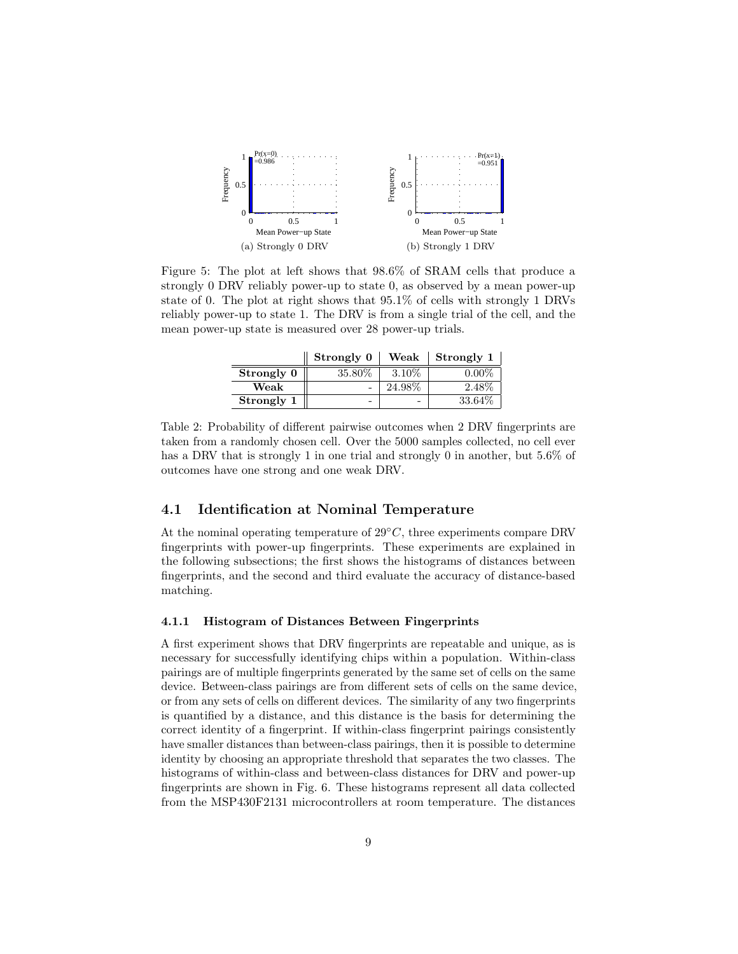

Figure 5: The plot at left shows that 98.6% of SRAM cells that produce a strongly 0 DRV reliably power-up to state 0, as observed by a mean power-up state of 0. The plot at right shows that 95.1% of cells with strongly 1 DRVs reliably power-up to state 1. The DRV is from a single trial of the cell, and the mean power-up state is measured over 28 power-up trials.

|            | Strongly 0 | Weak     | Strongly 1 |
|------------|------------|----------|------------|
| Strongly 0 | 35.80%     | $3.10\%$ | በ በበሟ      |
| Weak       |            | 24.98\%  | 2.48%      |
| Strongly 1 |            | -        | 33.64\%    |

Table 2: Probability of different pairwise outcomes when 2 DRV fingerprints are taken from a randomly chosen cell. Over the 5000 samples collected, no cell ever has a DRV that is strongly 1 in one trial and strongly 0 in another, but 5.6% of outcomes have one strong and one weak DRV.

### 4.1 Identification at Nominal Temperature

Ė

At the nominal operating temperature of  $29\degree C$ , three experiments compare DRV fingerprints with power-up fingerprints. These experiments are explained in the following subsections; the first shows the histograms of distances between fingerprints, and the second and third evaluate the accuracy of distance-based matching.

#### 4.1.1 Histogram of Distances Between Fingerprints

A first experiment shows that DRV fingerprints are repeatable and unique, as is necessary for successfully identifying chips within a population. Within-class pairings are of multiple fingerprints generated by the same set of cells on the same device. Between-class pairings are from different sets of cells on the same device, or from any sets of cells on different devices. The similarity of any two fingerprints is quantified by a distance, and this distance is the basis for determining the correct identity of a fingerprint. If within-class fingerprint pairings consistently have smaller distances than between-class pairings, then it is possible to determine identity by choosing an appropriate threshold that separates the two classes. The histograms of within-class and between-class distances for DRV and power-up fingerprints are shown in Fig. 6. These histograms represent all data collected from the MSP430F2131 microcontrollers at room temperature. The distances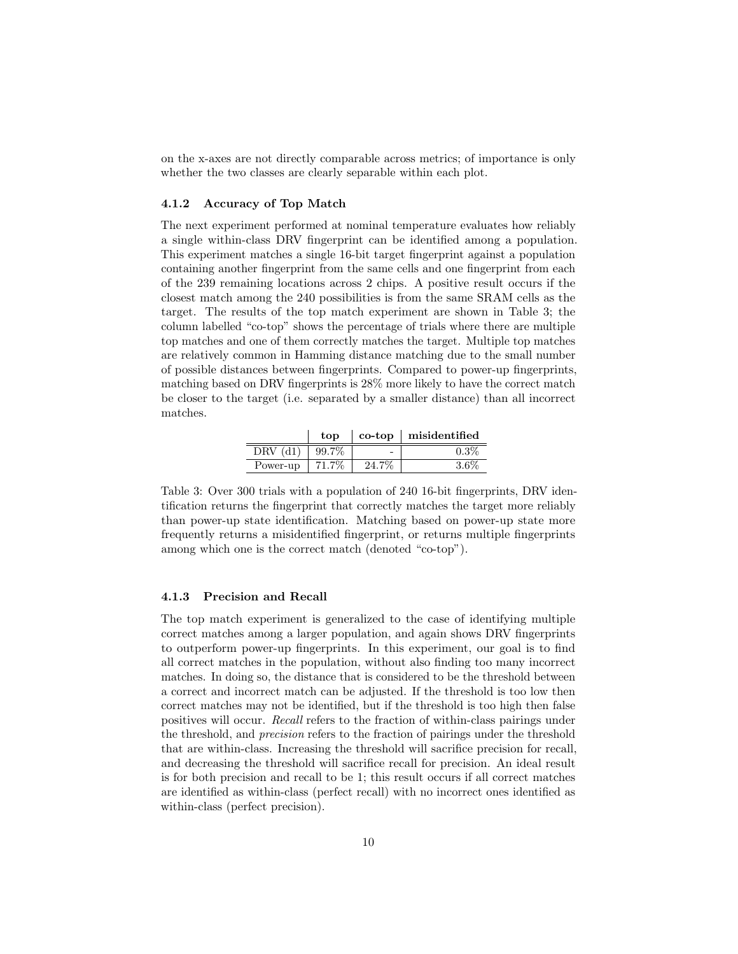on the x-axes are not directly comparable across metrics; of importance is only whether the two classes are clearly separable within each plot.

#### 4.1.2 Accuracy of Top Match

The next experiment performed at nominal temperature evaluates how reliably a single within-class DRV fingerprint can be identified among a population. This experiment matches a single 16-bit target fingerprint against a population containing another fingerprint from the same cells and one fingerprint from each of the 239 remaining locations across 2 chips. A positive result occurs if the closest match among the 240 possibilities is from the same SRAM cells as the target. The results of the top match experiment are shown in Table 3; the column labelled "co-top" shows the percentage of trials where there are multiple top matches and one of them correctly matches the target. Multiple top matches are relatively common in Hamming distance matching due to the small number of possible distances between fingerprints. Compared to power-up fingerprints, matching based on DRV fingerprints is 28% more likely to have the correct match be closer to the target (i.e. separated by a smaller distance) than all incorrect matches.

|          | top   |                          | $\cosh$ misidentified |
|----------|-------|--------------------------|-----------------------|
| DRV      | 99.7% | $\overline{\phantom{0}}$ | $0.3\%$               |
| Power-up |       | 24. .                    | -67                   |

Table 3: Over 300 trials with a population of 240 16-bit fingerprints, DRV identification returns the fingerprint that correctly matches the target more reliably than power-up state identification. Matching based on power-up state more frequently returns a misidentified fingerprint, or returns multiple fingerprints among which one is the correct match (denoted "co-top").

#### 4.1.3 Precision and Recall

The top match experiment is generalized to the case of identifying multiple correct matches among a larger population, and again shows DRV fingerprints to outperform power-up fingerprints. In this experiment, our goal is to find all correct matches in the population, without also finding too many incorrect matches. In doing so, the distance that is considered to be the threshold between a correct and incorrect match can be adjusted. If the threshold is too low then correct matches may not be identified, but if the threshold is too high then false positives will occur. Recall refers to the fraction of within-class pairings under the threshold, and precision refers to the fraction of pairings under the threshold that are within-class. Increasing the threshold will sacrifice precision for recall, and decreasing the threshold will sacrifice recall for precision. An ideal result is for both precision and recall to be 1; this result occurs if all correct matches are identified as within-class (perfect recall) with no incorrect ones identified as within-class (perfect precision).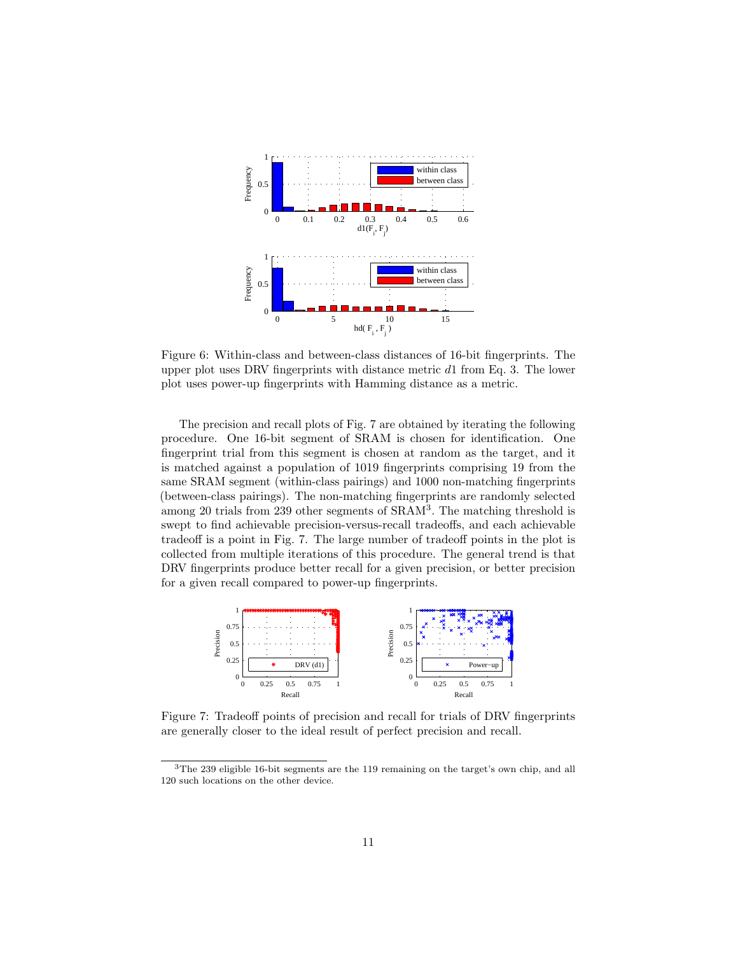

Figure 6: Within-class and between-class distances of 16-bit fingerprints. The upper plot uses DRV fingerprints with distance metric  $d_1$  from Eq. 3. The lower plot uses power-up fingerprints with Hamming distance as a metric.

The precision and recall plots of Fig. 7 are obtained by iterating the following procedure. One 16-bit segment of SRAM is chosen for identification. One fingerprint trial from this segment is chosen at random as the target, and it is matched against a population of 1019 fingerprints comprising 19 from the same SRAM segment (within-class pairings) and 1000 non-matching fingerprints (between-class pairings). The non-matching fingerprints are randomly selected among 20 trials from 239 other segments of SRAM<sup>3</sup> . The matching threshold is swept to find achievable precision-versus-recall tradeoffs, and each achievable tradeoff is a point in Fig. 7. The large number of tradeoff points in the plot is collected from multiple iterations of this procedure. The general trend is that DRV fingerprints produce better recall for a given precision, or better precision for a given recall compared to power-up fingerprints.



Figure 7: Tradeoff points of precision and recall for trials of DRV fingerprints are generally closer to the ideal result of perfect precision and recall.

<sup>3</sup>The 239 eligible 16-bit segments are the 119 remaining on the target's own chip, and all 120 such locations on the other device.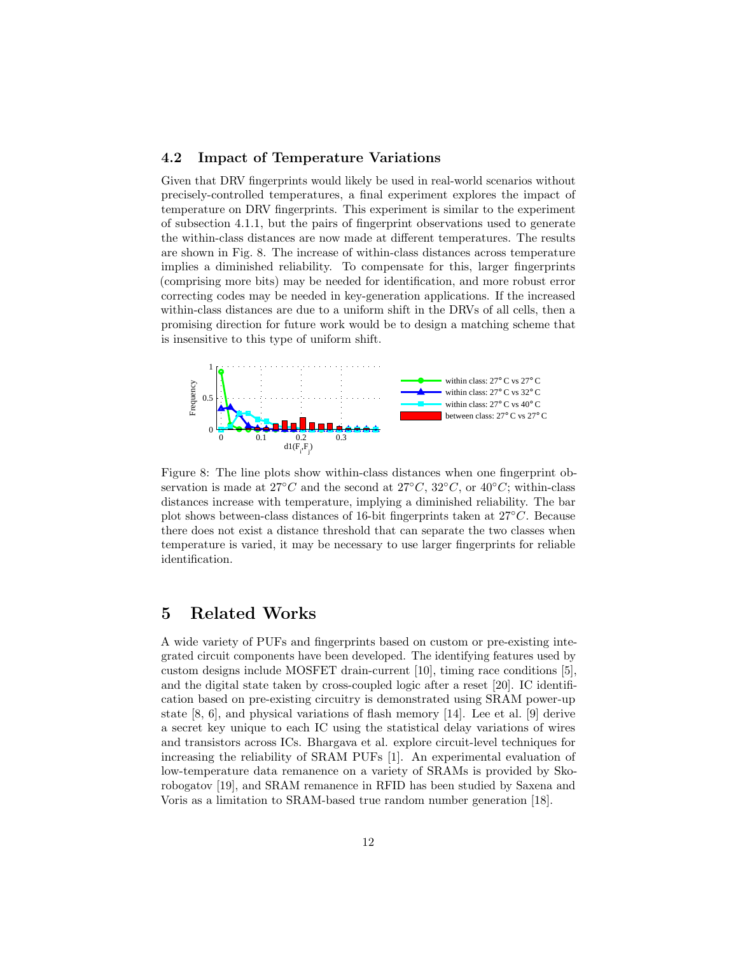#### 4.2 Impact of Temperature Variations

Given that DRV fingerprints would likely be used in real-world scenarios without precisely-controlled temperatures, a final experiment explores the impact of temperature on DRV fingerprints. This experiment is similar to the experiment of subsection 4.1.1, but the pairs of fingerprint observations used to generate the within-class distances are now made at different temperatures. The results are shown in Fig. 8. The increase of within-class distances across temperature implies a diminished reliability. To compensate for this, larger fingerprints (comprising more bits) may be needed for identification, and more robust error correcting codes may be needed in key-generation applications. If the increased within-class distances are due to a uniform shift in the DRVs of all cells, then a promising direction for future work would be to design a matching scheme that is insensitive to this type of uniform shift.



Figure 8: The line plots show within-class distances when one fingerprint observation is made at  $27°C$  and the second at  $27°C$ ,  $32°C$ , or  $40°C$ ; within-class distances increase with temperature, implying a diminished reliability. The bar plot shows between-class distances of 16-bit fingerprints taken at 27◦C. Because there does not exist a distance threshold that can separate the two classes when temperature is varied, it may be necessary to use larger fingerprints for reliable identification.

## 5 Related Works

A wide variety of PUFs and fingerprints based on custom or pre-existing integrated circuit components have been developed. The identifying features used by custom designs include MOSFET drain-current [10], timing race conditions [5], and the digital state taken by cross-coupled logic after a reset [20]. IC identification based on pre-existing circuitry is demonstrated using SRAM power-up state [8, 6], and physical variations of flash memory [14]. Lee et al. [9] derive a secret key unique to each IC using the statistical delay variations of wires and transistors across ICs. Bhargava et al. explore circuit-level techniques for increasing the reliability of SRAM PUFs [1]. An experimental evaluation of low-temperature data remanence on a variety of SRAMs is provided by Skorobogatov [19], and SRAM remanence in RFID has been studied by Saxena and Voris as a limitation to SRAM-based true random number generation [18].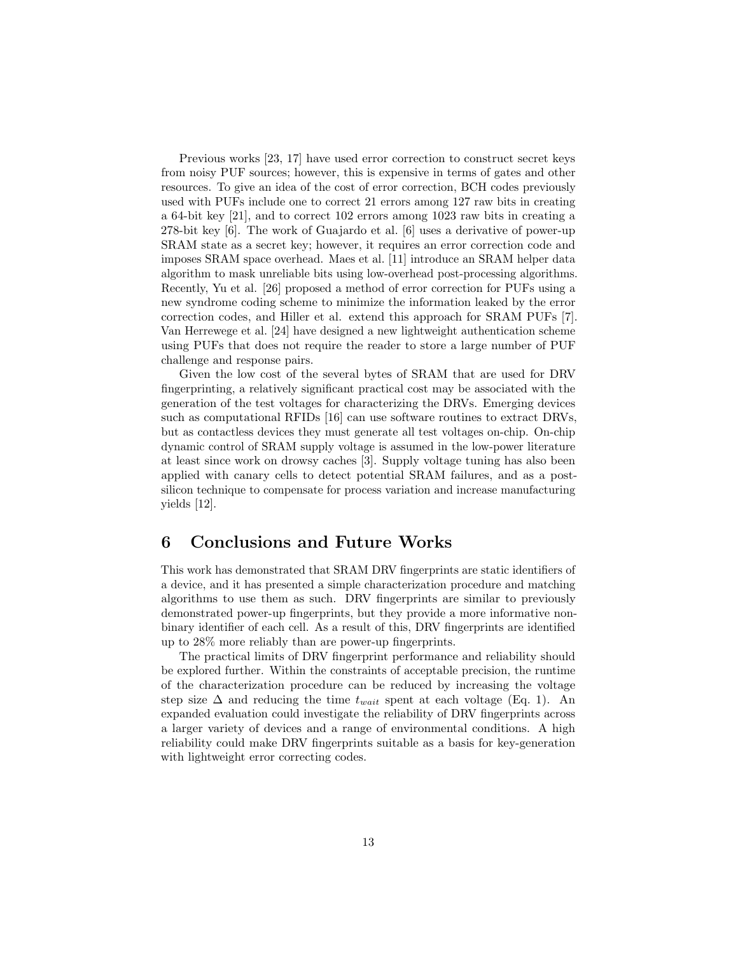Previous works [23, 17] have used error correction to construct secret keys from noisy PUF sources; however, this is expensive in terms of gates and other resources. To give an idea of the cost of error correction, BCH codes previously used with PUFs include one to correct 21 errors among 127 raw bits in creating a 64-bit key [21], and to correct 102 errors among 1023 raw bits in creating a 278-bit key [6]. The work of Guajardo et al. [6] uses a derivative of power-up SRAM state as a secret key; however, it requires an error correction code and imposes SRAM space overhead. Maes et al. [11] introduce an SRAM helper data algorithm to mask unreliable bits using low-overhead post-processing algorithms. Recently, Yu et al. [26] proposed a method of error correction for PUFs using a new syndrome coding scheme to minimize the information leaked by the error correction codes, and Hiller et al. extend this approach for SRAM PUFs [7]. Van Herrewege et al. [24] have designed a new lightweight authentication scheme using PUFs that does not require the reader to store a large number of PUF challenge and response pairs.

Given the low cost of the several bytes of SRAM that are used for DRV fingerprinting, a relatively significant practical cost may be associated with the generation of the test voltages for characterizing the DRVs. Emerging devices such as computational RFIDs [16] can use software routines to extract DRVs, but as contactless devices they must generate all test voltages on-chip. On-chip dynamic control of SRAM supply voltage is assumed in the low-power literature at least since work on drowsy caches [3]. Supply voltage tuning has also been applied with canary cells to detect potential SRAM failures, and as a postsilicon technique to compensate for process variation and increase manufacturing yields [12].

## 6 Conclusions and Future Works

This work has demonstrated that SRAM DRV fingerprints are static identifiers of a device, and it has presented a simple characterization procedure and matching algorithms to use them as such. DRV fingerprints are similar to previously demonstrated power-up fingerprints, but they provide a more informative nonbinary identifier of each cell. As a result of this, DRV fingerprints are identified up to 28% more reliably than are power-up fingerprints.

The practical limits of DRV fingerprint performance and reliability should be explored further. Within the constraints of acceptable precision, the runtime of the characterization procedure can be reduced by increasing the voltage step size  $\Delta$  and reducing the time  $t_{wait}$  spent at each voltage (Eq. 1). An expanded evaluation could investigate the reliability of DRV fingerprints across a larger variety of devices and a range of environmental conditions. A high reliability could make DRV fingerprints suitable as a basis for key-generation with lightweight error correcting codes.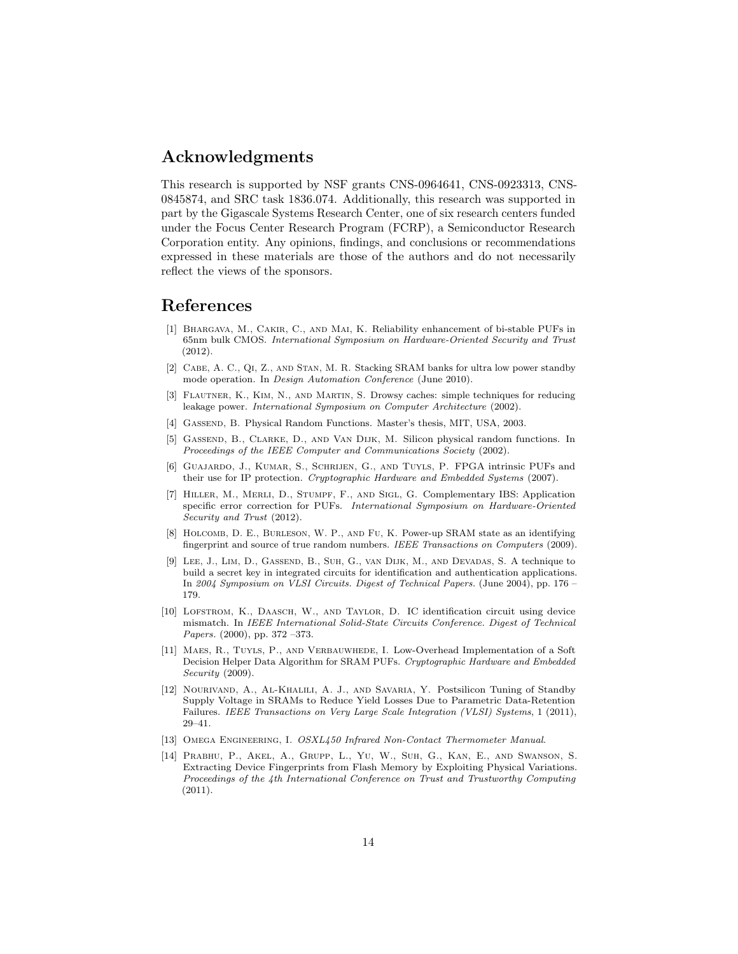## Acknowledgments

This research is supported by NSF grants CNS-0964641, CNS-0923313, CNS-0845874, and SRC task 1836.074. Additionally, this research was supported in part by the Gigascale Systems Research Center, one of six research centers funded under the Focus Center Research Program (FCRP), a Semiconductor Research Corporation entity. Any opinions, findings, and conclusions or recommendations expressed in these materials are those of the authors and do not necessarily reflect the views of the sponsors.

## References

- [1] Bhargava, M., Cakir, C., and Mai, K. Reliability enhancement of bi-stable PUFs in 65nm bulk CMOS. International Symposium on Hardware-Oriented Security and Trust (2012).
- [2] Cabe, A. C., Qi, Z., and Stan, M. R. Stacking SRAM banks for ultra low power standby mode operation. In Design Automation Conference (June 2010).
- [3] Flautner, K., Kim, N., and Martin, S. Drowsy caches: simple techniques for reducing leakage power. International Symposium on Computer Architecture (2002).
- [4] Gassend, B. Physical Random Functions. Master's thesis, MIT, USA, 2003.
- [5] Gassend, B., Clarke, D., and Van Dijk, M. Silicon physical random functions. In Proceedings of the IEEE Computer and Communications Society (2002).
- [6] Guajardo, J., Kumar, S., Schrijen, G., and Tuyls, P. FPGA intrinsic PUFs and their use for IP protection. Cryptographic Hardware and Embedded Systems (2007).
- [7] Hiller, M., Merli, D., Stumpf, F., and Sigl, G. Complementary IBS: Application specific error correction for PUFs. International Symposium on Hardware-Oriented Security and Trust (2012).
- [8] Holcomb, D. E., Burleson, W. P., and Fu, K. Power-up SRAM state as an identifying fingerprint and source of true random numbers. IEEE Transactions on Computers (2009).
- [9] Lee, J., Lim, D., Gassend, B., Suh, G., van Dijk, M., and Devadas, S. A technique to build a secret key in integrated circuits for identification and authentication applications. In 2004 Symposium on VLSI Circuits. Digest of Technical Papers. (June 2004), pp. 176 – 179.
- [10] LOFSTROM, K., DAASCH, W., AND TAYLOR, D. IC identification circuit using device mismatch. In IEEE International Solid-State Circuits Conference. Digest of Technical Papers. (2000), pp. 372 –373.
- [11] Maes, R., Tuyls, P., and Verbauwhede, I. Low-Overhead Implementation of a Soft Decision Helper Data Algorithm for SRAM PUFs. Cryptographic Hardware and Embedded Security (2009).
- [12] Nourivand, A., Al-Khalili, A. J., and Savaria, Y. Postsilicon Tuning of Standby Supply Voltage in SRAMs to Reduce Yield Losses Due to Parametric Data-Retention Failures. IEEE Transactions on Very Large Scale Integration (VLSI) Systems, 1 (2011), 29–41.
- [13] Omega Engineering, I. OSXL450 Infrared Non-Contact Thermometer Manual.
- [14] Prabhu, P., Akel, A., Grupp, L., Yu, W., Suh, G., Kan, E., and Swanson, S. Extracting Device Fingerprints from Flash Memory by Exploiting Physical Variations. Proceedings of the 4th International Conference on Trust and Trustworthy Computing (2011).